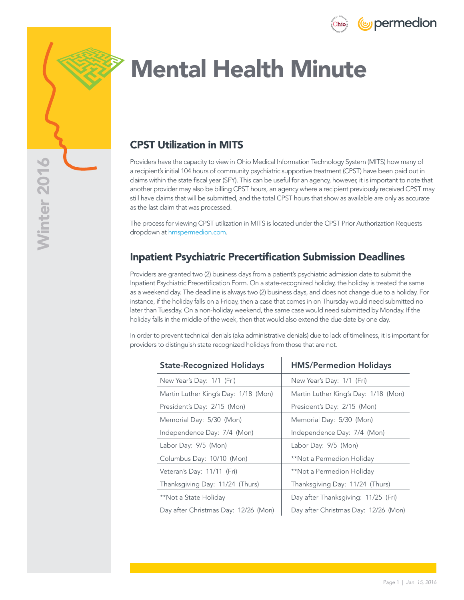



# Mental Health Minute

### CPST Utilization in MITS

Providers have the capacity to view in Ohio Medical Information Technology System (MITS) how many of a recipient's initial 104 hours of community psychiatric supportive treatment (CPST) have been paid out in claims within the state fiscal year (SFY). This can be useful for an agency, however, it is important to note that another provider may also be billing CPST hours, an agency where a recipient previously received CPST may still have claims that will be submitted, and the total CPST hours that show as available are only as accurate as the last claim that was processed.

The process for viewing CPST utilization in MITS is located under the CPST Prior Authorization Requests dropdown at [hmspermedion.com](http://hmspermedion.com).

#### Inpatient Psychiatric Precertification Submission Deadlines

Providers are granted two (2) business days from a patient's psychiatric admission date to submit the Inpatient Psychiatric Precertification Form. On a state-recognized holiday, the holiday is treated the same as a weekend day. The deadline is always two (2) business days, and does not change due to a holiday. For instance, if the holiday falls on a Friday, then a case that comes in on Thursday would need submitted no later than Tuesday. On a non-holiday weekend, the same case would need submitted by Monday. If the holiday falls in the middle of the week, then that would also extend the due date by one day.

In order to prevent technical denials (aka administrative denials) due to lack of timeliness, it is important for providers to distinguish state recognized holidays from those that are not.

| <b>State-Recognized Holidays</b>     | <b>HMS/Permedion Holidays</b>        |
|--------------------------------------|--------------------------------------|
| New Year's Day: 1/1 (Fri)            | New Year's Day: 1/1 (Fri)            |
| Martin Luther King's Day: 1/18 (Mon) | Martin Luther King's Day: 1/18 (Mon) |
| President's Day: 2/15 (Mon)          | President's Day: 2/15 (Mon)          |
| Memorial Day: 5/30 (Mon)             | Memorial Day: 5/30 (Mon)             |
| Independence Day: 7/4 (Mon)          | Independence Day: 7/4 (Mon)          |
| Labor Day: 9/5 (Mon)                 | Labor Day: 9/5 (Mon)                 |
| Columbus Day: 10/10 (Mon)            | **Not a Permedion Holiday            |
| Veteran's Day: 11/11 (Fri)           | **Not a Permedion Holiday            |
| Thanksgiving Day: 11/24 (Thurs)      | Thanksgiving Day: 11/24 (Thurs)      |
| **Not a State Holiday                | Day after Thanksgiving: 11/25 (Fri)  |
| Day after Christmas Day: 12/26 (Mon) | Day after Christmas Day: 12/26 (Mon) |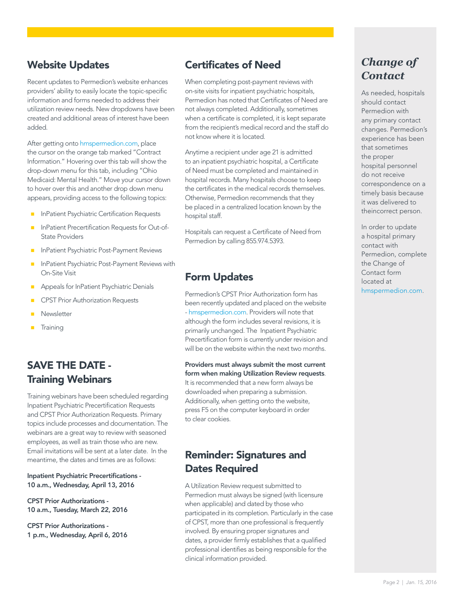### Website Updates

Recent updates to Permedion's website enhances providers' ability to easily locate the topic-specific information and forms needed to address their utilization review needs. New dropdowns have been created and additional areas of interest have been added.

After getting onto [hmspermedion.com,](http://hmspermedion.com) place the cursor on the orange tab marked "Contract Information." Hovering over this tab will show the drop-down menu for this tab, including "Ohio Medicaid: Mental Health." Move your cursor down to hover over this and another drop down menu appears, providing access to the following topics:

- InPatient Psychiatric Certification Requests
- **InPatient Precertification Requests for Out-of-**State Providers
- InPatient Psychiatric Post-Payment Reviews
- InPatient Psychiatric Post-Payment Reviews with On-Site Visit
- Appeals for InPatient Psychiatric Denials
- CPST Prior Authorization Requests
- **Newsletter**
- **Training**

#### SAVE THE DATE - Training Webinars

Training webinars have been scheduled regarding Inpatient Psychiatric Precertification Requests and CPST Prior Authorization Requests. Primary topics include processes and documentation. The webinars are a great way to review with seasoned employees, as well as train those who are new. Email invitations will be sent at a later date. In the meantime, the dates and times are as follows:

#### Inpatient Psychiatric Precertifications - 10 a.m., Wednesday, April 13, 2016

CPST Prior Authorizations - 10 a.m., Tuesday, March 22, 2016

CPST Prior Authorizations - 1 p.m., Wednesday, April 6, 2016

#### Certificates of Need

When completing post-payment reviews with on-site visits for inpatient psychiatric hospitals, Permedion has noted that Certificates of Need are not always completed. Additionally, sometimes when a certificate is completed, it is kept separate from the recipient's medical record and the staff do not know where it is located.

Anytime a recipient under age 21 is admitted to an inpatient psychiatric hospital, a Certificate of Need must be completed and maintained in hospital records. Many hospitals choose to keep the certificates in the medical records themselves. Otherwise, Permedion recommends that they be placed in a centralized location known by the hospital staff.

Hospitals can request a Certificate of Need from Permedion by calling 855.974.5393.

#### Form Updates

Permedion's CPST Prior Authorization form has been recently updated and placed on the website - [hmspermedion.com](http://hmspermedion.com). Providers will note that although the form includes several revisions, it is primarily unchanged. The Inpatient Psychiatric Precertification form is currently under revision and will be on the website within the next two months.

Providers must always submit the most current form when making Utilization Review requests. It is recommended that a new form always be downloaded when preparing a submission. Additionally, when getting onto the website, press F5 on the computer keyboard in order to clear cookies.

## Reminder: Signatures and Dates Required

A Utilization Review request submitted to Permedion must always be signed (with licensure when applicable) and dated by those who participated in its completion. Particularly in the case of CPST, more than one professional is frequently involved. By ensuring proper signatures and dates, a provider firmly establishes that a qualified professional identifies as being responsible for the clinical information provided.

## *Change of Contact*

As needed, hospitals should contact Permedion with any primary contact changes. Permedion's experience has been that sometimes the proper hospital personnel do not receive correspondence on a timely basis because it was delivered to theincorrect person.

In order to update a hospital primary contact with Permedion, complete the Change of Contact form located at [hmspermedion.com](http://hmspermedion.com).